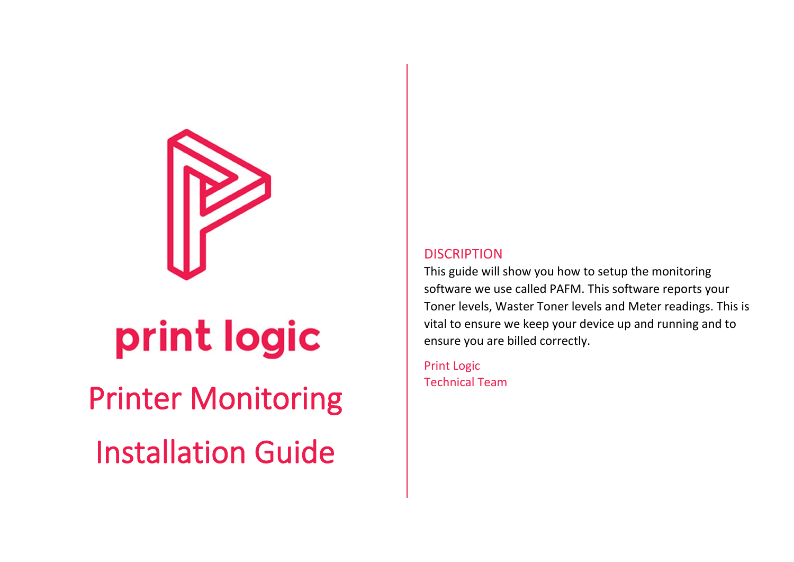

# print logic

## Printer Monitoring

Installation Guide

#### **DISCRIPTION**

This guide will show you how to setup the monitoring software we use called PAFM. This software reports your Toner levels, Waster Toner levels and Meter readings. This is vital to ensure we keep your device up and running and to ensure you are billed correctly.

Print Logic Technical Team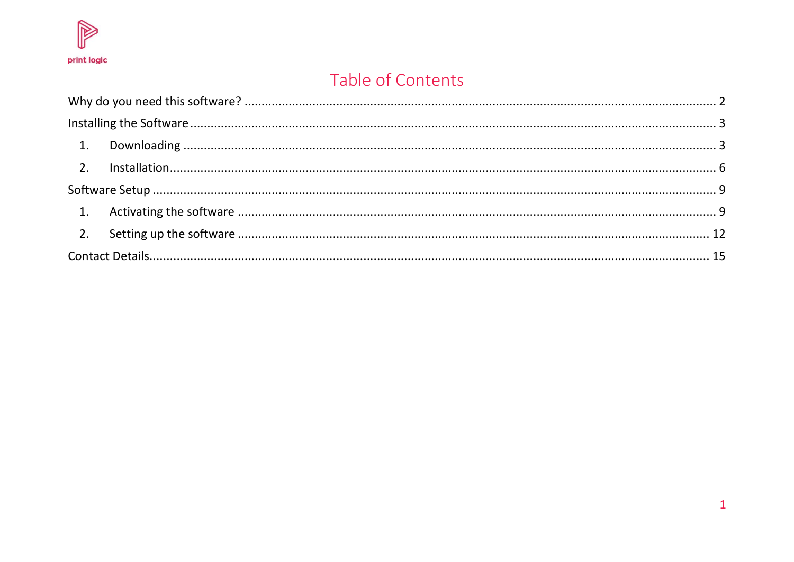

## Table of Contents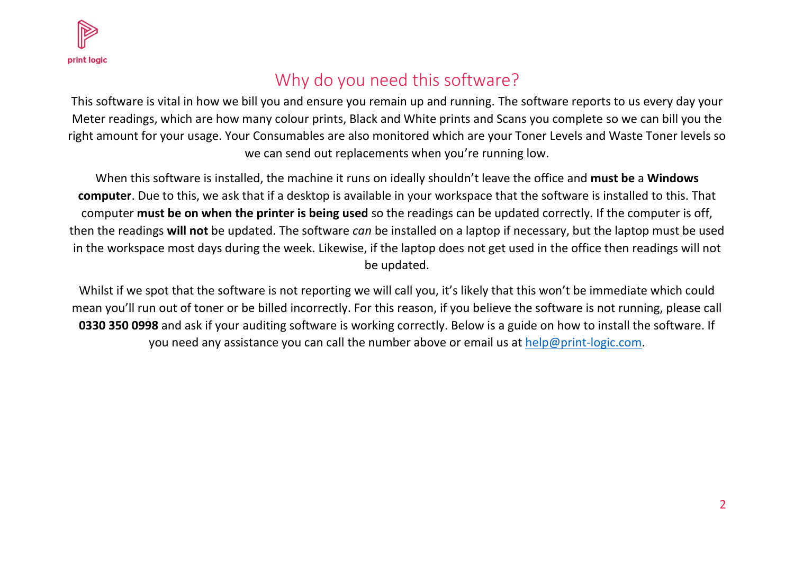

## Why do you need this software?

<span id="page-2-0"></span>This software is vital in how we bill you and ensure you remain up and running. The software reports to us every day your Meter readings, which are how many colour prints, Black and White prints and Scans you complete so we can bill you the right amount for your usage. Your Consumables are also monitored which are your Toner Levels and Waste Toner levels so we can send out replacements when you're running low.

When this software is installed, the machine it runs on ideally shouldn't leave the office and **must be** a **Windows computer**. Due to this, we ask that if a desktop is available in your workspace that the software is installed to this. That computer **must be on when the printer is being used** so the readings can be updated correctly. If the computer is off, then the readings **will not** be updated. The software *can* be installed on a laptop if necessary, but the laptop must be used in the workspace most days during the week. Likewise, if the laptop does not get used in the office then readings will not be updated.

Whilst if we spot that the software is not reporting we will call you, it's likely that this won't be immediate which could mean you'll run out of toner or be billed incorrectly. For this reason, if you believe the software is not running, please call **0330 350 0998** and ask if your auditing software is working correctly. Below is a guide on how to install the software. If you need any assistance you can call the number above or email us at [help@print-logic.com.](mailto:help@print-logic.com)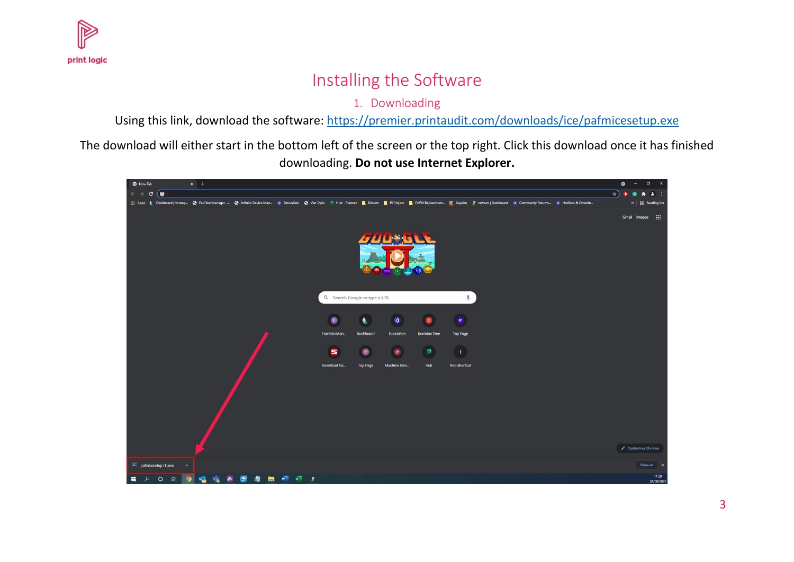<span id="page-3-0"></span>

## Installing the Software

1. Downloading

Using this link, download the software:<https://premier.printaudit.com/downloads/ice/pafmicesetup.exe>

<span id="page-3-1"></span>The download will either start in the bottom left of the screen or the top right. Click this download once it has finished downloading. **Do not use Internet Explorer.**

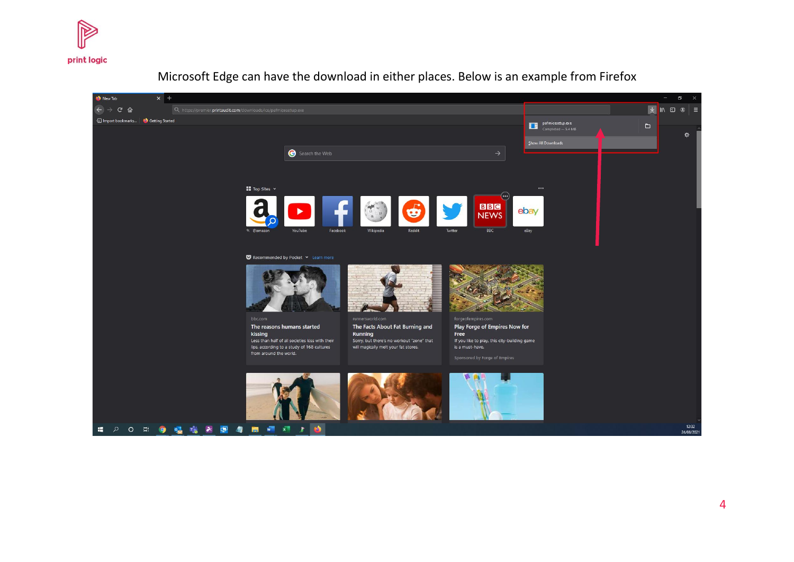



Microsoft Edge can have the download in either places. Below is an example from Firefox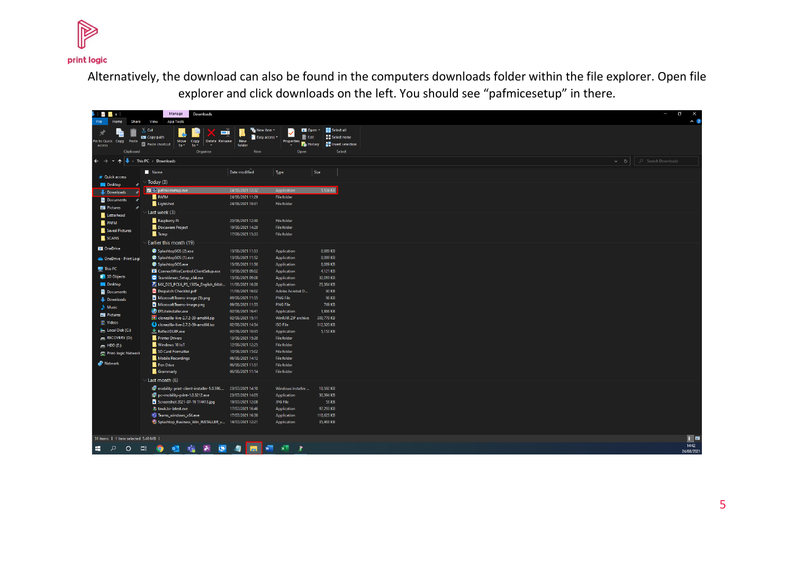

Alternatively, the download can also be found in the computers downloads folder within the file explorer. Open file explorer and click downloads on the left. You should see "pafmicesetup" in there.

| リプトー                               | Manage                                                   | Downloads                                                      |                                      |                                                 |                                      |                             |          | O<br>$\times$       |
|------------------------------------|----------------------------------------------------------|----------------------------------------------------------------|--------------------------------------|-------------------------------------------------|--------------------------------------|-----------------------------|----------|---------------------|
| File<br>Home                       | <b>Share</b><br>View<br><b>App Tools</b><br>Cut          |                                                                |                                      | <b>Fig</b> New item <b>v</b>                    | Di Open *                            | Select all                  |          | $\sim$ $\alpha$     |
|                                    | <b>MM</b> Copy path                                      | шù                                                             |                                      | $\blacksquare$ Easy access $\blacktriangledown$ | $\checkmark$<br>$\blacksquare$ Edit  | <b>Explored Select none</b> |          |                     |
| Pin to Quick Copy Paste<br>access  | <b>Paste shortcut</b>                                    | Move<br>Copy<br>Delete Rename<br>to<br>$to -$<br>$\mathcal{A}$ | New<br>folder                        |                                                 | Properties<br>Properties<br>Phistory | <b>THE Invert selection</b> |          |                     |
|                                    | Clipboard                                                | Organise                                                       |                                      | New                                             | Open                                 | Select                      |          |                     |
| $\leftarrow$<br>$\rightarrow$      | $\uparrow$ $\downarrow$ > This PC > Downloads            |                                                                |                                      |                                                 |                                      |                             | $\sim$ 0 | C Search Downloads  |
|                                    | Name                                                     |                                                                | Date modified                        | Type                                            | Size                                 |                             |          |                     |
| <b>A</b> Quick access              | Today (3)                                                |                                                                |                                      |                                                 |                                      |                             |          |                     |
| <b>Desktop</b>                     | ٠<br>pafmicesetup.exe                                    |                                                                | 24/08/2021 12:32                     | Application                                     |                                      | 5,534 KB                    |          |                     |
| Downloads                          | $\overline{\phantom{a}}$<br><b>PAFM</b><br>$\rightarrow$ |                                                                | 24/08/2021 11:29                     | <b>File folder</b>                              |                                      |                             |          |                     |
| <b>Documents</b><br>Pictures       | Lightshot                                                |                                                                | 24/08/2021 10:31                     | <b>File folder</b>                              |                                      |                             |          |                     |
| Letterhead                         | Last week (3)                                            |                                                                |                                      |                                                 |                                      |                             |          |                     |
| $\blacksquare$ PAFM                | Raspberry Pi                                             |                                                                | 20/08/2021 12:30                     | <b>File folder</b>                              |                                      |                             |          |                     |
| Saved Pictures                     | Docuware Project                                         |                                                                | 19/08/2021 14:29                     | <b>File folder</b>                              |                                      |                             |          |                     |
| $\blacksquare$ SCANS               | $\blacksquare$ Temp                                      |                                                                | 17/08/2021 15:33                     | <b>File folder</b>                              |                                      |                             |          |                     |
|                                    | Earlier this month (19)                                  |                                                                |                                      |                                                 |                                      |                             |          |                     |
| <b>DE OneDrive</b>                 | SplashtopSOS (2).exe                                     |                                                                | 13/08/2021 11:53                     | Application                                     |                                      | 8,089 KB                    |          |                     |
| CheDrive - Print Logi              | SplashtopSOS (1).exe                                     |                                                                | 13/08/2021 11:52                     | <b>Application</b>                              |                                      | 8.089 KB                    |          |                     |
| $\blacksquare$ This PC             | SplashtopSOS.exe                                         |                                                                | 13/08/2021 11:50                     | <b>Application</b>                              |                                      | 8.089 KB                    |          |                     |
| 3D Objects                         |                                                          | ConnectWiseControl.ClientSetup.exe                             | 13/08/2021 09:02                     | <b>Application</b>                              |                                      | 4.121 KB                    |          |                     |
| <b>Desktop</b>                     | C TeamViewer_Setup_x64.exe                               |                                                                | 13/08/2021 09:00                     | <b>Application</b>                              |                                      | 32,019 KB<br>25,384 KB      |          |                     |
| 图 Documents                        | <b>Despatch Checklist.pdf</b>                            | MX_D25_PCL6_PS_1505a_English_64bit 11/08/2021 16:20            | 11/08/2021 16:02                     | Application                                     | Adobe Acrobat D                      | 90 KB                       |          |                     |
| Downloads                          |                                                          | MicrosoftTeams-image (1).png                                   | 09/08/2021 11:55                     | <b>PNG File</b>                                 |                                      | 96 KB                       |          |                     |
| $M$ Music                          |                                                          | MicrosoftTeams-image.png                                       | 09/08/2021 11:55                     | <b>PNG File</b>                                 |                                      | 749 KB                      |          |                     |
| Pictures                           | <b>DTLiteInstaller.exe</b>                               |                                                                | 02/08/2021 16:41                     | Application                                     |                                      | 1,866 KB                    |          |                     |
| 图 Videos                           |                                                          | clonezilla-live-2.7.2-39-amd64.zip                             | 02/08/2021 15:11                     |                                                 | WinRAR ZIP archive                   | 300,779 KB                  |          |                     |
|                                    |                                                          | clonezilla-live-2.7.2-39-amd64.iso                             | 02/08/2021 14:54                     | <b>ISO File</b>                                 |                                      | 312,320 KB                  |          |                     |
| Local Disk (C:)<br>RECOVERY (D:)   | ReflectDLBF.exe                                          |                                                                | 02/08/2021 10:35                     | <b>Application</b>                              |                                      | 5,152 KB                    |          |                     |
|                                    | <b>Printer Drivers</b><br>Windows 10 loT                 |                                                                | 13/08/2021 15:39<br>12/08/2021 12:25 | <b>File folder</b><br><b>File folder</b>        |                                      |                             |          |                     |
| HDD(E)                             | SD Card Formatter                                        |                                                                | 10/08/2021 15:02                     | <b>File folder</b>                              |                                      |                             |          |                     |
| Print-logic Network                | Mobile Recordings                                        |                                                                | 06/08/2021 14:13                     | <b>File folder</b>                              |                                      |                             |          |                     |
| Network                            | Pen Drive                                                |                                                                | 06/08/2021 11:51                     | <b>File folder</b>                              |                                      |                             |          |                     |
|                                    | Grammarly                                                |                                                                | 06/08/2021 11:14                     | <b>File folder</b>                              |                                      |                             |          |                     |
|                                    | Last month (6)                                           |                                                                |                                      |                                                 |                                      |                             |          |                     |
|                                    |                                                          | 18 mobility-print-client-installer-1.0.596 23/07/2021 14:10    |                                      |                                                 | Windows Installer                    | 18,592 KB                   |          |                     |
|                                    |                                                          | 18 pc-mobility-print-1.0.3212.exe                              | 23/07/2021 14:05                     | Application                                     |                                      | 30,394 KB                   |          |                     |
|                                    |                                                          | Screenshot 2021-07-19 114413.jpg                               | 19/07/2021 12:08                     | JPG File                                        |                                      | 53 KB                       |          |                     |
|                                    | <b>A</b> tawk.to-latest.exe                              |                                                                | 17/07/2021 16:46                     | Application                                     |                                      | 97,293 KB                   |          |                     |
|                                    | Tu Teams_windows_x64.exe                                 |                                                                | 17/07/2021 16:38                     | Application                                     |                                      | 118,623 KB                  |          |                     |
|                                    |                                                          | Splashtop_Business_Win_INSTALLER_v 14/07/2021 12:21            |                                      | <b>Application</b>                              |                                      | 35,463 KB                   |          |                     |
| 31 items   1 item selected 5.40 MB |                                                          |                                                                |                                      |                                                 |                                      |                             |          | $\blacksquare$      |
| Q<br>×.                            | Ħ<br>$\circ$<br>$\overline{\bullet}$                     | ¢<br>$\blacktriangleright$                                     |                                      | $x =$                                           | - 2                                  |                             |          | 14:42<br>24/08/2021 |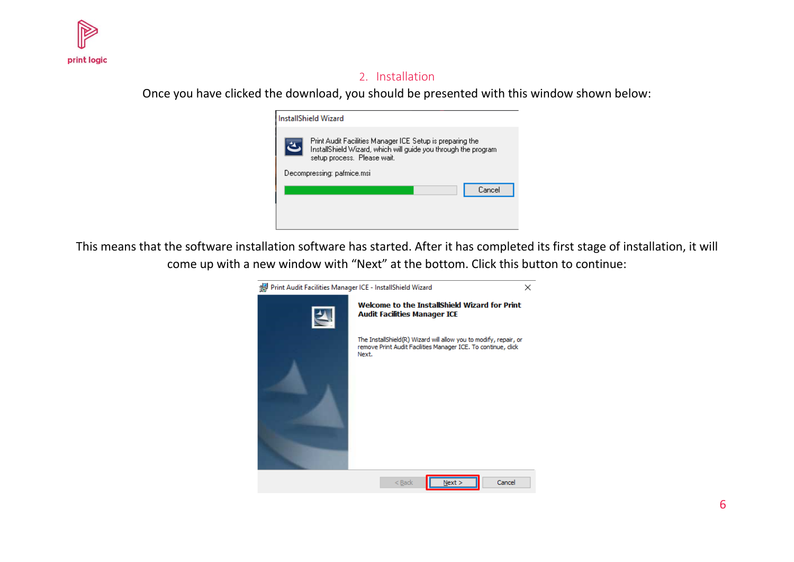<span id="page-6-0"></span>

#### 2. Installation

Once you have clicked the download, you should be presented with this window shown below:

| <b>InstallShield Wizard</b>                                                                                                                                |  |  |  |
|------------------------------------------------------------------------------------------------------------------------------------------------------------|--|--|--|
| Print Audit Facilities Manager ICE Setup is preparing the<br>InstallShield Wizard, which will guide you through the program<br>setup process. Please wait. |  |  |  |
| Decompressing: pafmice.msi                                                                                                                                 |  |  |  |
| Cancel                                                                                                                                                     |  |  |  |
|                                                                                                                                                            |  |  |  |
|                                                                                                                                                            |  |  |  |

This means that the software installation software has started. After it has completed its first stage of installation, it will come up with a new window with "Next" at the bottom. Click this button to continue:

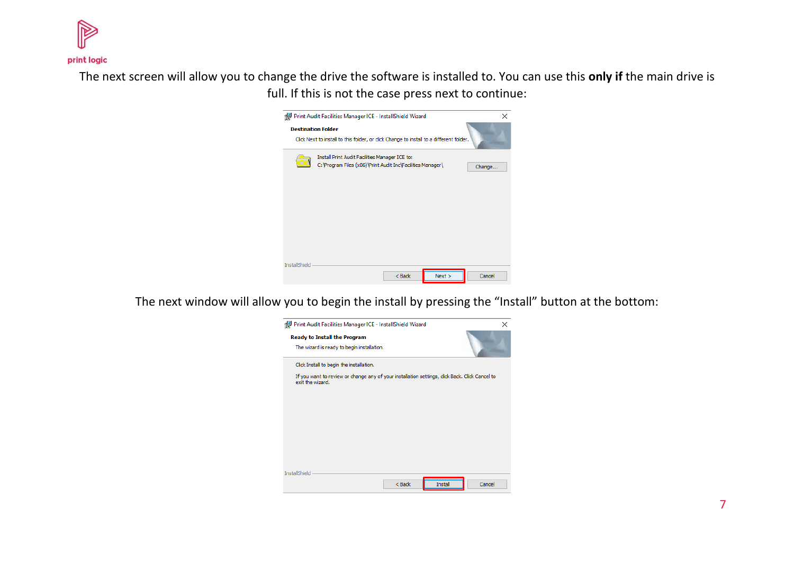

The next screen will allow you to change the drive the software is installed to. You can use this **only if** the main drive is full. If this is not the case press next to continue:



The next window will allow you to begin the install by pressing the "Install" button at the bottom:

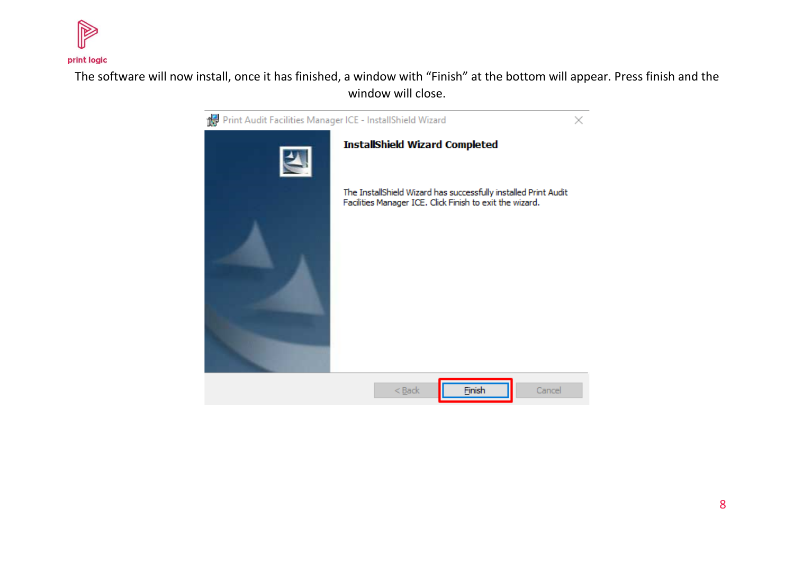

The software will now install, once it has finished, a window with "Finish" at the bottom will appear. Press finish and the window will close.

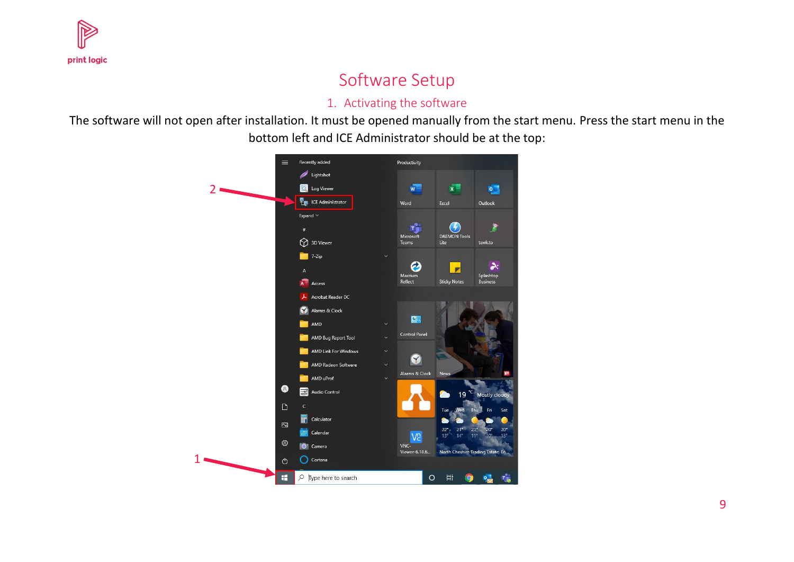

## Software Setup

#### 1. Activating the software

<span id="page-9-1"></span><span id="page-9-0"></span>The software will not open after installation. It must be opened manually from the start menu. Press the start menu in the bottom left and ICE Administrator should be at the top:

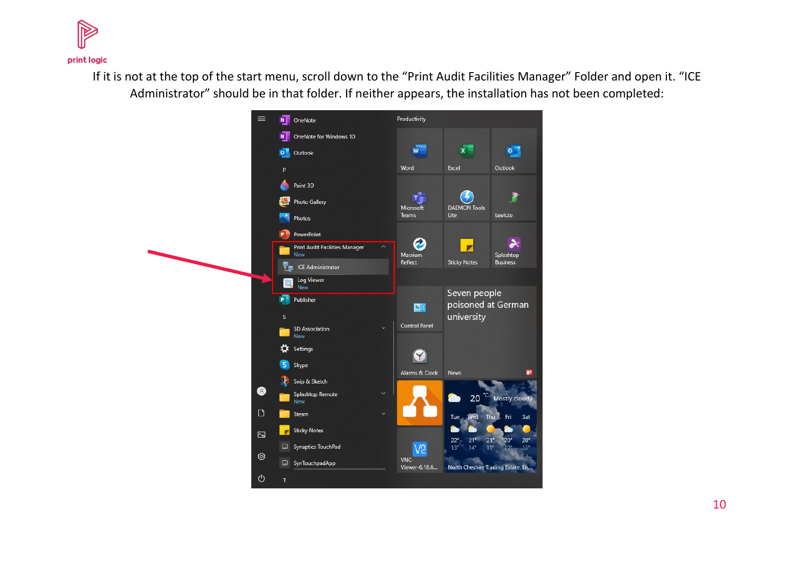

If it is not at the top of the start menu, scroll down to the "Print Audit Facilities Manager" Folder and open it. "ICE Administrator" should be in that folder. If neither appears, the installation has not been completed:

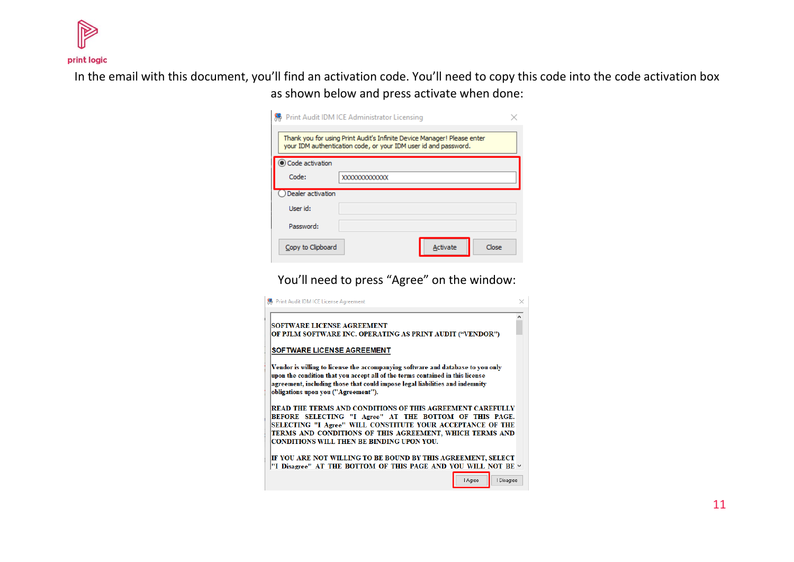

In the email with this document, you'll find an activation code. You'll need to copy this code into the code activation box as shown below and press activate when done:

|                                                                                                                                            | Print Audit IDM ICE Administrator Licensing |  |  |  |
|--------------------------------------------------------------------------------------------------------------------------------------------|---------------------------------------------|--|--|--|
| Thank you for using Print Audit's Infinite Device Manager! Please enter<br>your IDM authentication code, or your IDM user id and password. |                                             |  |  |  |
| Code activation                                                                                                                            |                                             |  |  |  |
| Code:                                                                                                                                      | XXXXXXXXXXXX                                |  |  |  |
| Dealer activation                                                                                                                          |                                             |  |  |  |
| User id:                                                                                                                                   |                                             |  |  |  |
| Password:                                                                                                                                  |                                             |  |  |  |
| Copy to Clipboard                                                                                                                          | Close<br>Activate                           |  |  |  |

You'll need to press "Agree" on the window:

| • Print Audit IDM ICE License Agreement                                                                                                                                                                                                                                                          |  |
|--------------------------------------------------------------------------------------------------------------------------------------------------------------------------------------------------------------------------------------------------------------------------------------------------|--|
| SOFTWARE LICENSE AGREEMENT<br>OF PJLM SOFTWARE INC. OPERATING AS PRINT AUDIT ("VENDOR")                                                                                                                                                                                                          |  |
| SOF TWARE LICENSE AGREEMENT                                                                                                                                                                                                                                                                      |  |
| Vendor is willing to license the accompanying software and database to you only<br>upon the condition that you accept all of the terms contained in this license<br>agreement, including those that could impose legal liabilities and indemnity<br>obligations upon you ("Agreement").          |  |
| READ THE TERMS AND CONDITIONS OF THIS AGREEMENT CAREFULLY<br>BEFORE SELECTING "I Agree" AT THE BOTTOM OF THIS PAGE.<br>SELECTING "I Agree" WILL CONSTITUTE YOUR ACCEPTANCE OF THE<br>TERMS AND CONDITIONS OF THIS AGREEMENT, WHICH TERMS AND<br><b>CONDITIONS WILL THEN BE BINDING UPON YOU.</b> |  |
| IF YOU ARE NOT WILLING TO BE BOUND BY THIS AGREEMENT, SELECT<br>"I Disagree" AT THE BOTTOM OF THIS PAGE AND YOU WILL NOT BE $\checkmark$                                                                                                                                                         |  |
| I Disagree<br><b>Agree</b>                                                                                                                                                                                                                                                                       |  |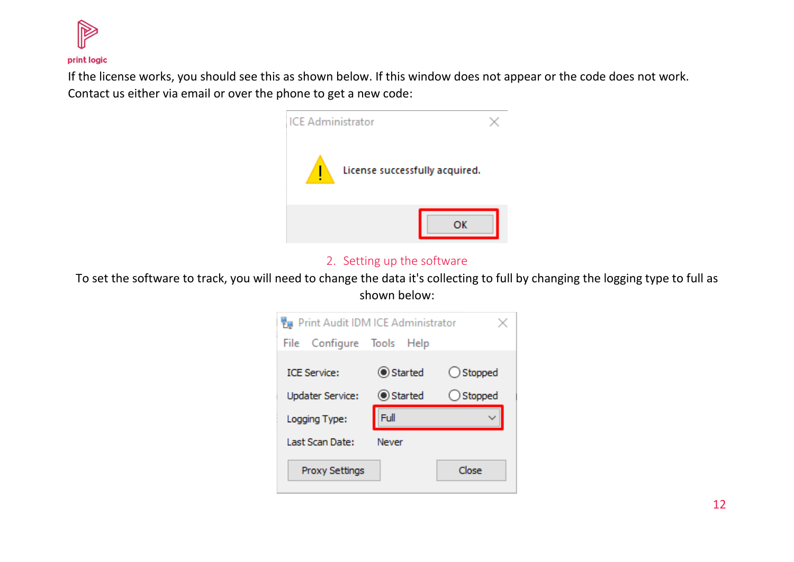

If the license works, you should see this as shown below. If this window does not appear or the code does not work. Contact us either via email or over the phone to get a new code:



#### 2. Setting up the software

<span id="page-12-0"></span>To set the software to track, you will need to change the data it's collecting to full by changing the logging type to full as shown below:

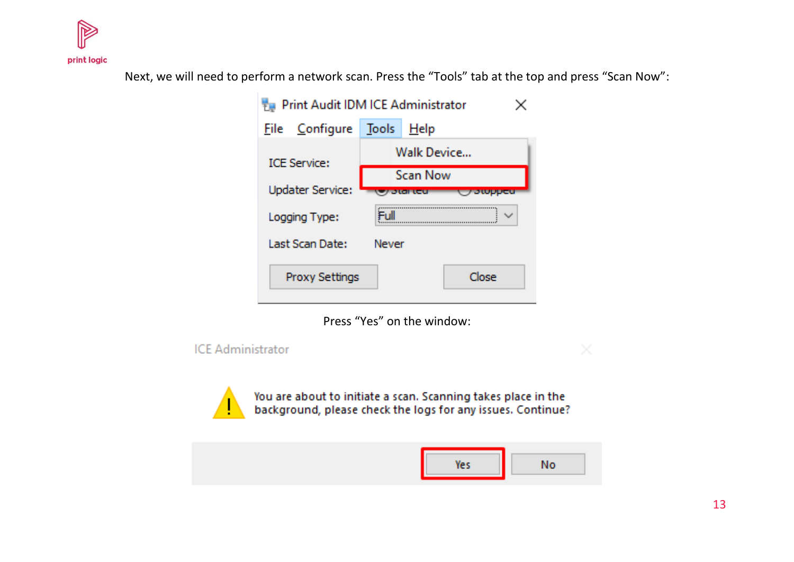

Next, we will need to perform a network scan. Press the "Tools" tab at the top and press "Scan Now":

| Print Audit IDM ICE Administrator |                 |       |  |  |
|-----------------------------------|-----------------|-------|--|--|
| File                              |                 |       |  |  |
| <b>ICE Service:</b>               | Walk Device     |       |  |  |
| <b>Updater Service:</b>           | <b>Scan Now</b> |       |  |  |
|                                   |                 |       |  |  |
| Logging Type:                     | Full            |       |  |  |
| Last Scan Date: I                 | <b>Newer</b>    |       |  |  |
| <b>Proxy Settings</b>             |                 | Close |  |  |

Press "Yes" on the window:

**ICE Administrator** 

You are about to initiate a scan. Scanning takes place in the<br>background, please check the logs for any issues. Continue?

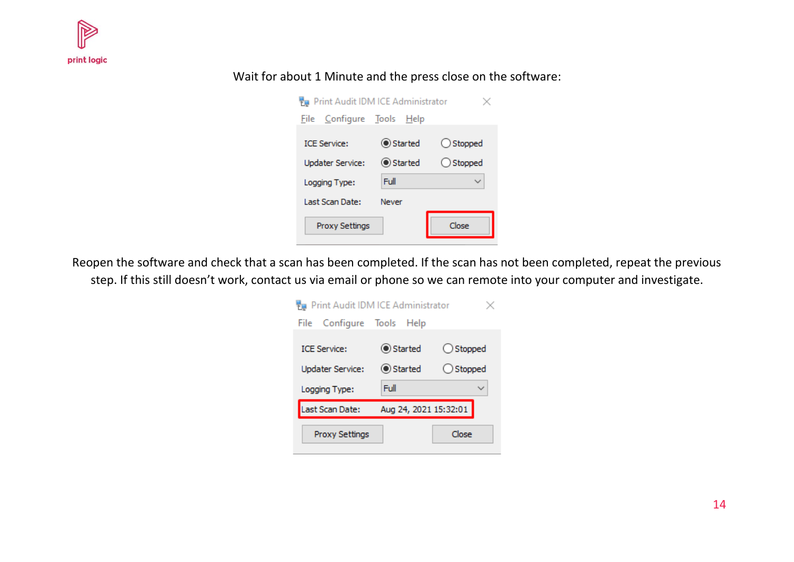

#### Wait for about 1 Minute and the press close on the software:

| Fu Print Audit IDM ICE Administrator |           |                    |  |  |
|--------------------------------------|-----------|--------------------|--|--|
| File Configure Tools Help            |           |                    |  |  |
| <b>ICE Service:</b>                  | ◎ Started | $\bigcirc$ Stopped |  |  |
| <b>Updater Service:</b>              | ◎ Started | $\bigcirc$ Stopped |  |  |
| Logging Type:                        | Full      |                    |  |  |
| Last Scan Date:                      | Never     |                    |  |  |
| Proxy Settings                       |           | Close              |  |  |

Reopen the software and check that a scan has been completed. If the scan has not been completed, repeat the previous step. If this still doesn't work, contact us via email or phone so we can remote into your computer and investigate.

| Punt Audit IDM ICE Administrator |                       |                    |  |  |
|----------------------------------|-----------------------|--------------------|--|--|
| File Configure Tools Help        |                       |                    |  |  |
| <b>ICE Service:</b>              | ◉ Started             | $\bigcirc$ Stopped |  |  |
| <b>Updater Service:</b>          | ◉ Started             | $\bigcirc$ Stopped |  |  |
| Logging Type:                    | Full                  |                    |  |  |
| Last Scan Date:                  | Aug 24, 2021 15:32:01 |                    |  |  |
|                                  |                       |                    |  |  |